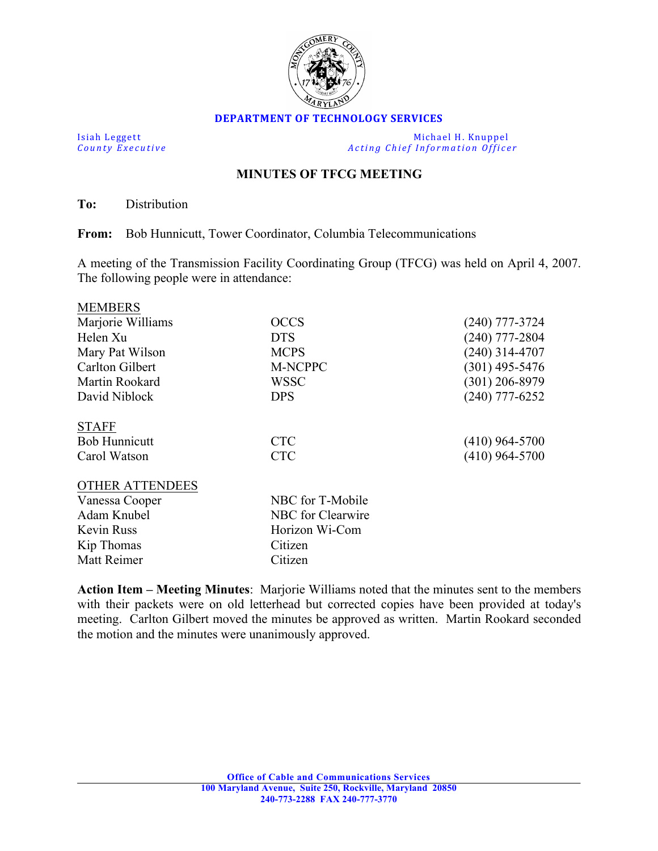

## **DEPARTMENT OF TECHNOLOGY SERVICES**

Isiah Leggett Michael H. Knuppel<br>
County Executive County Executive Acting Chief Information Office *Acting Chief Information Officer* 

## **MINUTES OF TFCG MEETING**

**To:** Distribution

**From:** Bob Hunnicutt, Tower Coordinator, Columbia Telecommunications

A meeting of the Transmission Facility Coordinating Group (TFCG) was held on April 4, 2007. The following people were in attendance:

| <b>MEMBERS</b>         |                   |                  |
|------------------------|-------------------|------------------|
| Marjorie Williams      | <b>OCCS</b>       | (240) 777-3724   |
| Helen Xu               | <b>DTS</b>        | $(240)$ 777-2804 |
| Mary Pat Wilson        | <b>MCPS</b>       | $(240)$ 314-4707 |
| Carlton Gilbert        | M-NCPPC           | $(301)$ 495-5476 |
| Martin Rookard         | <b>WSSC</b>       | $(301)$ 206-8979 |
| David Niblock          | <b>DPS</b>        | $(240)$ 777-6252 |
| <b>STAFF</b>           |                   |                  |
| <b>Bob Hunnicutt</b>   | <b>CTC</b>        | $(410)$ 964-5700 |
| Carol Watson           | <b>CTC</b>        | $(410)$ 964-5700 |
| <b>OTHER ATTENDEES</b> |                   |                  |
| Vanessa Cooper         | NBC for T-Mobile  |                  |
| Adam Knubel            | NBC for Clearwire |                  |
| Kevin Russ             | Horizon Wi-Com    |                  |
| Kip Thomas             | Citizen           |                  |
| Matt Reimer            | Citizen           |                  |

**Action Item – Meeting Minutes**: Marjorie Williams noted that the minutes sent to the members with their packets were on old letterhead but corrected copies have been provided at today's meeting. Carlton Gilbert moved the minutes be approved as written. Martin Rookard seconded the motion and the minutes were unanimously approved.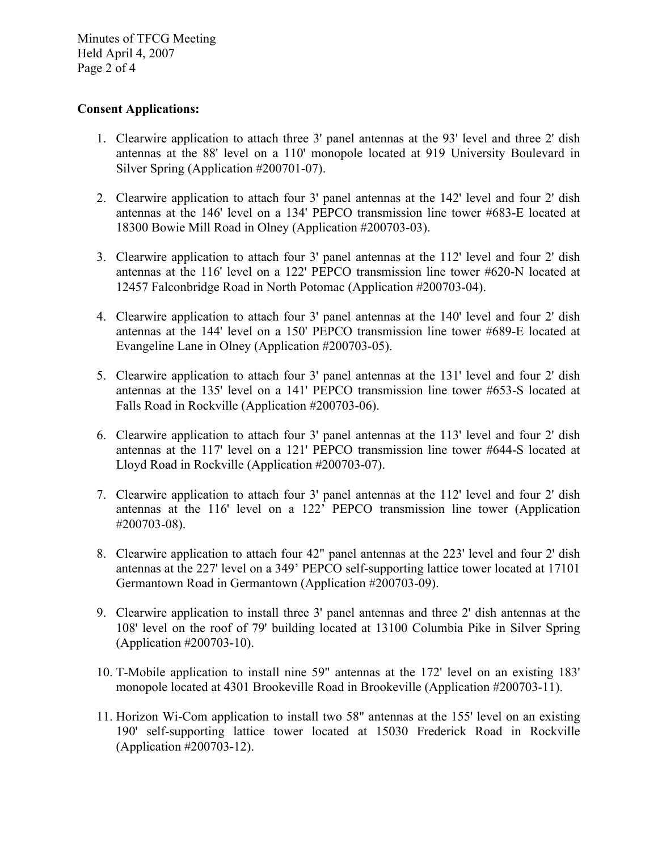Minutes of TFCG Meeting Held April 4, 2007 Page 2 of 4

## **Consent Applications:**

- 1. Clearwire application to attach three 3' panel antennas at the 93' level and three 2' dish antennas at the 88' level on a 110' monopole located at 919 University Boulevard in Silver Spring (Application #200701-07).
- 2. Clearwire application to attach four 3' panel antennas at the 142' level and four 2' dish antennas at the 146' level on a 134' PEPCO transmission line tower #683-E located at 18300 Bowie Mill Road in Olney (Application #200703-03).
- 3. Clearwire application to attach four 3' panel antennas at the 112' level and four 2' dish antennas at the 116' level on a 122' PEPCO transmission line tower #620-N located at 12457 Falconbridge Road in North Potomac (Application #200703-04).
- 4. Clearwire application to attach four 3' panel antennas at the 140' level and four 2' dish antennas at the 144' level on a 150' PEPCO transmission line tower #689-E located at Evangeline Lane in Olney (Application #200703-05).
- 5. Clearwire application to attach four 3' panel antennas at the 131' level and four 2' dish antennas at the 135' level on a 141' PEPCO transmission line tower #653-S located at Falls Road in Rockville (Application #200703-06).
- 6. Clearwire application to attach four 3' panel antennas at the 113' level and four 2' dish antennas at the 117' level on a 121' PEPCO transmission line tower #644-S located at Lloyd Road in Rockville (Application #200703-07).
- 7. Clearwire application to attach four 3' panel antennas at the 112' level and four 2' dish antennas at the 116' level on a 122' PEPCO transmission line tower (Application #200703-08).
- 8. Clearwire application to attach four 42" panel antennas at the 223' level and four 2' dish antennas at the 227' level on a 349' PEPCO self-supporting lattice tower located at 17101 Germantown Road in Germantown (Application #200703-09).
- 9. Clearwire application to install three 3' panel antennas and three 2' dish antennas at the 108' level on the roof of 79' building located at 13100 Columbia Pike in Silver Spring (Application #200703-10).
- 10. T-Mobile application to install nine 59" antennas at the 172' level on an existing 183' monopole located at 4301 Brookeville Road in Brookeville (Application #200703-11).
- 11. Horizon Wi-Com application to install two 58" antennas at the 155' level on an existing 190' self-supporting lattice tower located at 15030 Frederick Road in Rockville (Application #200703-12).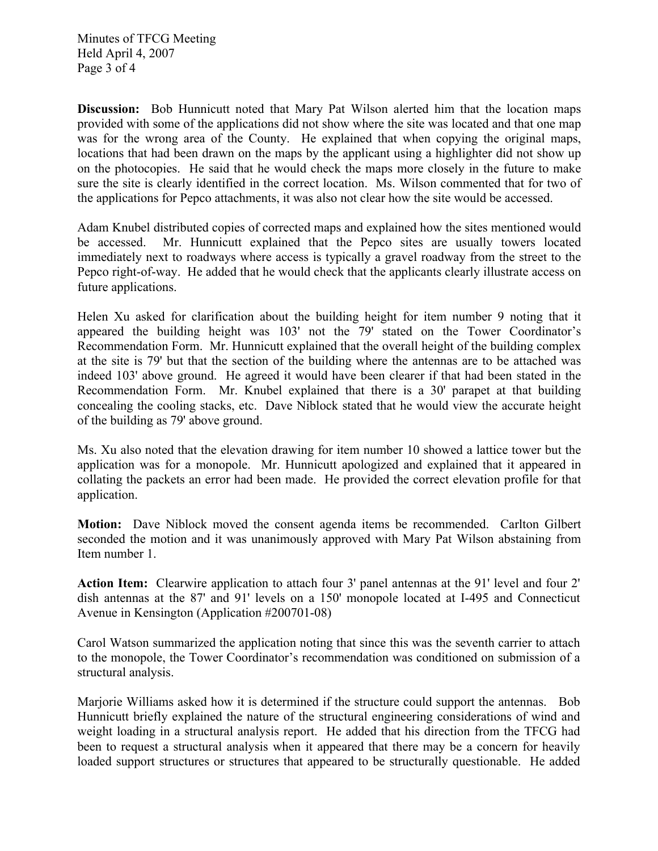Minutes of TFCG Meeting Held April 4, 2007 Page 3 of 4

**Discussion:** Bob Hunnicutt noted that Mary Pat Wilson alerted him that the location maps provided with some of the applications did not show where the site was located and that one map was for the wrong area of the County. He explained that when copying the original maps, locations that had been drawn on the maps by the applicant using a highlighter did not show up on the photocopies. He said that he would check the maps more closely in the future to make sure the site is clearly identified in the correct location. Ms. Wilson commented that for two of the applications for Pepco attachments, it was also not clear how the site would be accessed.

Adam Knubel distributed copies of corrected maps and explained how the sites mentioned would be accessed. Mr. Hunnicutt explained that the Pepco sites are usually towers located immediately next to roadways where access is typically a gravel roadway from the street to the Pepco right-of-way. He added that he would check that the applicants clearly illustrate access on future applications.

Helen Xu asked for clarification about the building height for item number 9 noting that it appeared the building height was 103' not the 79' stated on the Tower Coordinator's Recommendation Form. Mr. Hunnicutt explained that the overall height of the building complex at the site is 79' but that the section of the building where the antennas are to be attached was indeed 103' above ground. He agreed it would have been clearer if that had been stated in the Recommendation Form. Mr. Knubel explained that there is a 30' parapet at that building concealing the cooling stacks, etc. Dave Niblock stated that he would view the accurate height of the building as 79' above ground.

Ms. Xu also noted that the elevation drawing for item number 10 showed a lattice tower but the application was for a monopole. Mr. Hunnicutt apologized and explained that it appeared in collating the packets an error had been made. He provided the correct elevation profile for that application.

**Motion:** Dave Niblock moved the consent agenda items be recommended. Carlton Gilbert seconded the motion and it was unanimously approved with Mary Pat Wilson abstaining from Item number 1.

**Action Item:** Clearwire application to attach four 3' panel antennas at the 91' level and four 2' dish antennas at the 87' and 91' levels on a 150' monopole located at I-495 and Connecticut Avenue in Kensington (Application #200701-08)

Carol Watson summarized the application noting that since this was the seventh carrier to attach to the monopole, the Tower Coordinator's recommendation was conditioned on submission of a structural analysis.

Marjorie Williams asked how it is determined if the structure could support the antennas. Bob Hunnicutt briefly explained the nature of the structural engineering considerations of wind and weight loading in a structural analysis report. He added that his direction from the TFCG had been to request a structural analysis when it appeared that there may be a concern for heavily loaded support structures or structures that appeared to be structurally questionable. He added